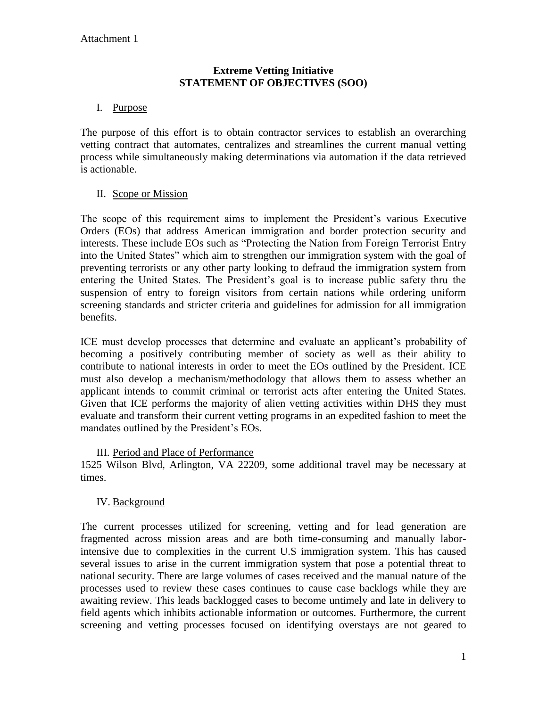#### **Extreme Vetting Initiative STATEMENT OF OBJECTIVES (SOO)**

## I. Purpose

The purpose of this effort is to obtain contractor services to establish an overarching vetting contract that automates, centralizes and streamlines the current manual vetting process while simultaneously making determinations via automation if the data retrieved is actionable.

### II. Scope or Mission

The scope of this requirement aims to implement the President's various Executive Orders (EOs) that address American immigration and border protection security and interests. These include EOs such as "Protecting the Nation from Foreign Terrorist Entry into the United States" which aim to strengthen our immigration system with the goal of preventing terrorists or any other party looking to defraud the immigration system from entering the United States. The President's goal is to increase public safety thru the suspension of entry to foreign visitors from certain nations while ordering uniform screening standards and stricter criteria and guidelines for admission for all immigration benefits.

ICE must develop processes that determine and evaluate an applicant's probability of becoming a positively contributing member of society as well as their ability to contribute to national interests in order to meet the EOs outlined by the President. ICE must also develop a mechanism/methodology that allows them to assess whether an applicant intends to commit criminal or terrorist acts after entering the United States. Given that ICE performs the majority of alien vetting activities within DHS they must evaluate and transform their current vetting programs in an expedited fashion to meet the mandates outlined by the President's EOs.

### III. Period and Place of Performance

1525 Wilson Blvd, Arlington, VA 22209, some additional travel may be necessary at times.

### IV. Background

The current processes utilized for screening, vetting and for lead generation are fragmented across mission areas and are both time-consuming and manually laborintensive due to complexities in the current U.S immigration system. This has caused several issues to arise in the current immigration system that pose a potential threat to national security. There are large volumes of cases received and the manual nature of the processes used to review these cases continues to cause case backlogs while they are awaiting review. This leads backlogged cases to become untimely and late in delivery to field agents which inhibits actionable information or outcomes. Furthermore, the current screening and vetting processes focused on identifying overstays are not geared to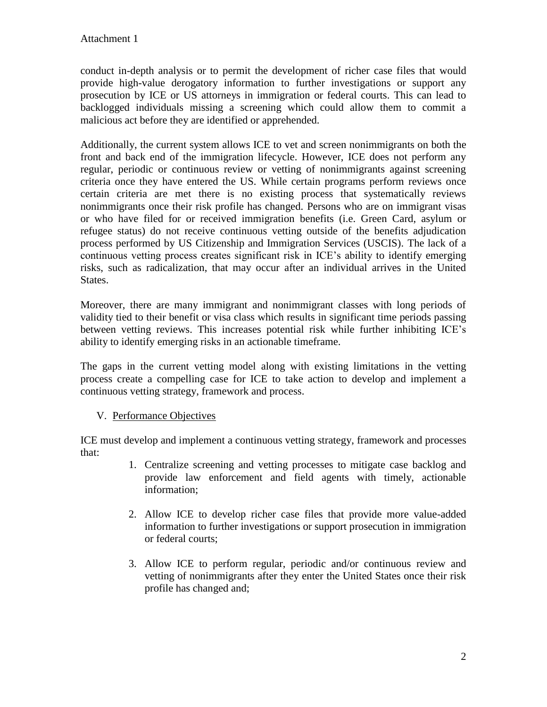conduct in-depth analysis or to permit the development of richer case files that would provide high-value derogatory information to further investigations or support any prosecution by ICE or US attorneys in immigration or federal courts. This can lead to backlogged individuals missing a screening which could allow them to commit a malicious act before they are identified or apprehended.

Additionally, the current system allows ICE to vet and screen nonimmigrants on both the front and back end of the immigration lifecycle. However, ICE does not perform any regular, periodic or continuous review or vetting of nonimmigrants against screening criteria once they have entered the US. While certain programs perform reviews once certain criteria are met there is no existing process that systematically reviews nonimmigrants once their risk profile has changed. Persons who are on immigrant visas or who have filed for or received immigration benefits (i.e. Green Card, asylum or refugee status) do not receive continuous vetting outside of the benefits adjudication process performed by US Citizenship and Immigration Services (USCIS). The lack of a continuous vetting process creates significant risk in ICE's ability to identify emerging risks, such as radicalization, that may occur after an individual arrives in the United States.

Moreover, there are many immigrant and nonimmigrant classes with long periods of validity tied to their benefit or visa class which results in significant time periods passing between vetting reviews. This increases potential risk while further inhibiting ICE's ability to identify emerging risks in an actionable timeframe.

The gaps in the current vetting model along with existing limitations in the vetting process create a compelling case for ICE to take action to develop and implement a continuous vetting strategy, framework and process.

### V. Performance Objectives

ICE must develop and implement a continuous vetting strategy, framework and processes that:

- 1. Centralize screening and vetting processes to mitigate case backlog and provide law enforcement and field agents with timely, actionable information;
- 2. Allow ICE to develop richer case files that provide more value-added information to further investigations or support prosecution in immigration or federal courts;
- 3. Allow ICE to perform regular, periodic and/or continuous review and vetting of nonimmigrants after they enter the United States once their risk profile has changed and;